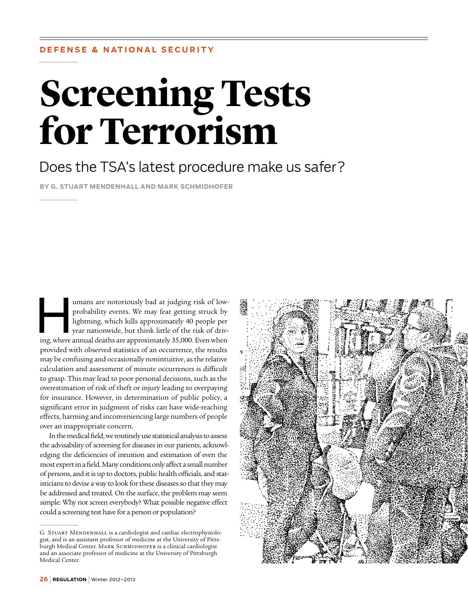## **Screening Tests for Terrorism**

Does the TSA's latest procedure make us safer?

**By G. Stuart Mendenhall and Mark Schmidhofer**

umans are notoriously bad at judging risk of low-<br>probability events. We may fear getting struck by<br>lightning, which kills approximately 40 people per<br>year nationwide, but think little of the risk of driv-<br>ing where annual probability events. We may fear getting struck by lightning, which kills approximately 40 people per year nationwide, but think little of the risk of driving, where annual deaths are approximately 35,000. Even when provided with observed statistics of an occurrence, the results may be confusing and occasionally nonintuitive, as the relative calculation and assessment of minute occurrences is difficult to grasp. This may lead to poor personal decisions, such as the overestimation of risk of theft or injury leading to overpaying for insurance. However, in determination of public policy, a significant error in judgment of risks can have wide-reaching effects, harming and inconveniencing large numbers of people over an inappropriate concern.

In the medical field, we routinely use statistical analysis to assess the advisability of screening for diseases in our patients, acknowledging the deficiencies of intuition and estimation of even the most expert in a field. Many conditions only affect a small number of persons, and it is up to doctors, public health officials, and statisticians to devise a way to look for these diseases so that they may be addressed and treated. On the surface, the problem may seem simple: Why not screen everybody? What possible negative effect could a screening test have for a person or population?

G. STUART MENDENHALL is a cardiologist and cardiac electrophysiologist, and is an assistant professor of medicine at the University of Pittsburgh Medical Center. MARK SCHMIDHOFER is a clinical cardiologist and an associate professor of medicine at the University of Pittsburgh Medical Center.

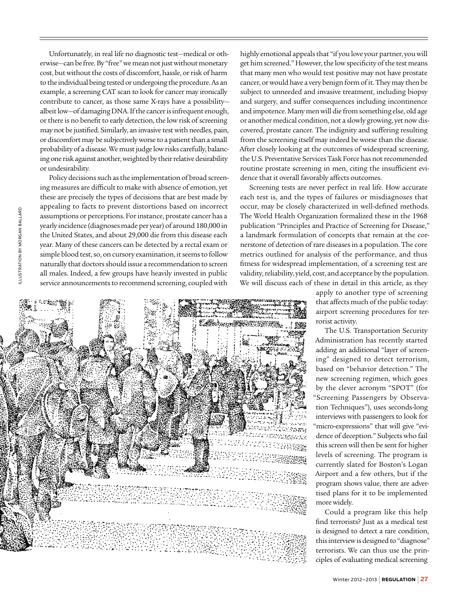Unfortunately, in real life no diagnostic test—medical or otherwise—can be free. By "free" we mean not just without monetary cost, but without the costs of discomfort, hassle, or risk of harm to the individual being tested or undergoing the procedure. As an example, a screening CAT scan to look for cancer may ironically contribute to cancer, as those same X-rays have a possibility albeit low—of damaging DNA. If the cancer is infrequent enough, or there is no benefit to early detection, the low risk of screening may not be justified. Similarly, an invasive test with needles, pain, or discomfort may be subjectively worse to a patient than a small probability of a disease. We must judge low risks carefully, balancing one risk against another, weighted by their relative desirability or undesirability.

Policy decisions such as the implementation of broad screening measures are difficult to make with absence of emotion, yet these are precisely the types of decisions that are best made by appealing to facts to prevent distortions based on incorrect assumptions or perceptions. For instance, prostate cancer has a yearly incidence (diagnoses made per year) of around 180,000 in the United States, and about 29,000 die from this disease each year. Many of these cancers can be detected by a rectal exam or simple blood test, so, on cursory examination, it seems to follow naturally that doctors should issue a recommendation to screen all males. Indeed, a few groups have heavily invested in public service announcements to recommend screening, coupled with

highly emotional appeals that "if you love your partner, you will get him screened." However, the low specificity of the test means that many men who would test positive may not have prostate cancer, or would have a very benign form of it. They may then be subject to unneeded and invasive treatment, including biopsy and surgery, and suffer consequences including incontinence and impotence. Many men will die from something else, old age or another medical condition, not a slowly growing, yet now discovered, prostate cancer. The indignity and suffering resulting from the screening itself may indeed be worse than the disease. After closely looking at the outcomes of widespread screening, the U.S. Preventative Services Task Force has not recommended routine prostate screening in men, citing the insufficient evidence that it overall favorably affects outcomes.

Screening tests are never perfect in real life. How accurate each test is, and the types of failures or misdiagnoses that occur, may be closely characterized in well-defined methods. The World Health Organization formalized these in the 1968 publication "Principles and Practice of Screening for Disease," a landmark formulation of concepts that remain at the cornerstone of detection of rare diseases in a population. The core metrics outlined for analysis of the performance, and thus fitness for widespread implementation, of a screening test are validity, reliability, yield, cost, and acceptance by the population. We will discuss each of these in detail in this article, as they

> apply to another type of screening that affects much of the public today: airport screening procedures for terrorist activity.

The U.S. Transportation Security Administration has recently started adding an additional "layer of screening" designed to detect terrorism, based on "behavior detection." The new screening regimen, which goes by the clever acronym "SPOT" (for "Screening Passengers by Observation Techniques"), uses seconds-long interviews with passengers to look for "micro-expressions" that will give "evidence of deception." Subjects who fail this screen will then be sent for higher levels of screening. The program is currently slated for Boston's Logan Airport and a few others, but if the program shows value, there are advertised plans for it to be implemented more widely.

Could a program like this help find terrorists? Just as a medical test is designed to detect a rare condition, this interview is designed to "diagnose" terrorists. We can thus use the principles of evaluating medical screening

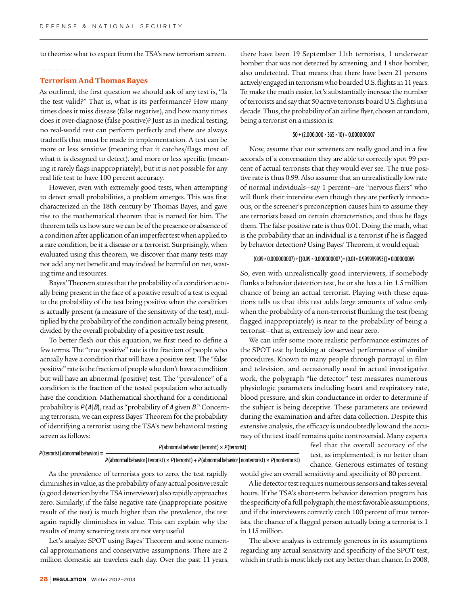to theorize what to expect from the TSA's new terrorism screen.

#### **Terrorism And Thomas Bayes**

As outlined, the first question we should ask of any test is, "Is the test valid?" That is, what is its performance? How many times does it miss disease (false negative), and how many times does it over-diagnose (false positive)? Just as in medical testing, no real-world test can perform perfectly and there are always tradeoffs that must be made in implementation. A test can be more or less sensitive (meaning that it catches/flags most of what it is designed to detect), and more or less specific (meaning it rarely flags inappropriately), but it is not possible for any real life test to have 100 percent accuracy.

However, even with extremely good tests, when attempting to detect small probabilities, a problem emerges. This was first characterized in the 18th century by Thomas Bayes, and gave rise to the mathematical theorem that is named for him. The theorem tells us how sure we can be of the presence or absence of a condition after application of an imperfect test when applied to a rare condition, be it a disease or a terrorist. Surprisingly, when evaluated using this theorem, we discover that many tests may not add any net benefit and may indeed be harmful on net, wasting time and resources.

Bayes' Theorem states that the probability of a condition actually being present in the face of a positive result of a test is equal to the probability of the test being positive when the condition is actually present (a measure of the sensitivity of the test), multiplied by the probability of the condition actually being present, divided by the overall probability of a positive test result.

To better flesh out this equation, we first need to define a few terms. The "true positive" rate is the fraction of people who actually have a condition that will have a positive test. The "false positive" rate is the fraction of people who don't have a condition but will have an abnormal (positive) test. The "prevalence" of a condition is the fraction of the tested population who actually have the condition. Mathematical shorthand for a conditional probability is  $P(A|B)$ , read as "probability of A given B." Concerning terrorism, we can express Bayes' Theorem for the probability of identifying a terrorist using the TSA's new behavioral testing screen as follows:

there have been 19 September 11th terrorists, 1 underwear bomber that was not detected by screening, and 1 shoe bomber, also undetected. That means that there have been 21 persons actively engaged in terrorism who boarded U.S. flights in 11 years. To make the math easier, let's substantially increase the number of terrorists and say that 50 active terrorists board U.S. flights in a decade. Thus, the probability of an airline flyer, chosen at random, being a terrorist on a mission is:

#### 50 ÷ (2,000,000 × 365 × 10) = 0.000000007

Now, assume that our screeners are really good and in a few seconds of a conversation they are able to correctly spot 99 percent of actual terrorists that they would ever see. The true positive rate is thus 0.99. Also assume that an unrealistically low rate of normal individuals—say 1 percent—are "nervous fliers" who will flunk their interview even though they are perfectly innocuous, or the screener's preconception causes him to assume they are terrorists based on certain characteristics, and thus he flags them. The false positive rate is thus 0.01. Doing the math, what is the probability that an individual is a terrorist if he is flagged by behavior detection? Using Bayes' Theorem, it would equal:

#### $(0.99 * 0.000000007) ÷ {0.99 * 0.000000007} + (0.01 * 0.999999993)} = 0.00000069$

So, even with unrealistically good interviewers, if somebody flunks a behavior detection test, he or she has a 1in 1.5 million chance of being an actual terrorist. Playing with these equations tells us that this test adds large amounts of value only when the probability of a non-terrorist flunking the test (being flagged inappropriately) is near to the probability of being a terrorist—that is, extremely low and near zero.

We can infer some more realistic performance estimates of the SPOT test by looking at observed performance of similar procedures. Known to many people through portrayal in film and television, and occasionally used in actual investigative work, the polygraph "lie detector" test measures numerous physiologic parameters including heart and respiratory rate, blood pressure, and skin conductance in order to determine if the subject is being deceptive. These parameters are reviewed during the examination and after data collection. Despite this extensive analysis, the efficacy is undoubtedly low and the accuracy of the test itself remains quite controversial. Many experts

| $P$ (terrorist I abnormal behavior) = | $P$ (abnormal behavior I terrorist) $\times$ P (terrorist)                                                            |  |
|---------------------------------------|-----------------------------------------------------------------------------------------------------------------------|--|
|                                       | P(abnormal behavior   terrorist) $\times$ P(terrorist) + P(abnormal behavior   nonterrorist) $\times$ P(nonterrorist) |  |

As the prevalence of terrorists goes to zero, the test rapidly diminishes in value, as the probability of any actual positive result (a good detection by the TSA interviewer) also rapidly approaches zero. Similarly, if the false negative rate (inappropriate positive result of the test) is much higher than the prevalence, the test again rapidly diminishes in value. This can explain why the results of many screening tests are not very useful

Let's analyze SPOT using Bayes' Theorem and some numerical approximations and conservative assumptions. There are 2 million domestic air travelers each day. Over the past 11 years,

feel that the overall accuracy of the st, as implemented, is no better than chance. Generous estimates of testing

would give an overall sensitivity and specificity of 80 percent.

A lie detector test requires numerous sensors and takes several hours. If the TSA's short-term behavior detection program has the specificity of a full polygraph, the most favorable assumptions, and if the interviewers correctly catch 100 percent of true terrorists, the chance of a flagged person actually being a terrorist is 1 in 115 million.

The above analysis is extremely generous in its assumptions regarding any actual sensitivity and specificity of the SPOT test, which in truth is most likely not any better than chance. In 2008,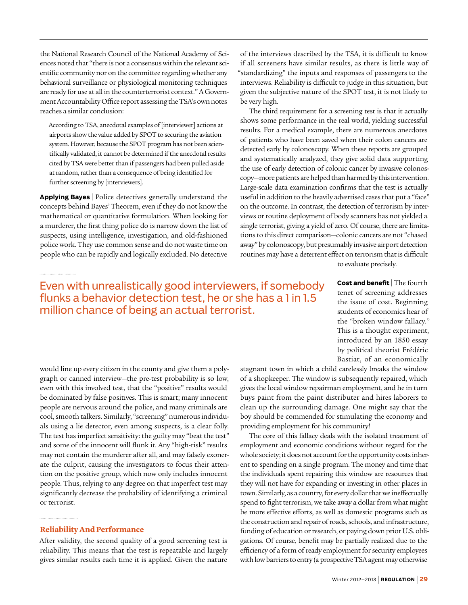the National Research Council of the National Academy of Sciences noted that "there is not a consensus within the relevant scientific community nor on the committee regarding whether any behavioral surveillance or physiological monitoring techniques are ready for use at all in the counterterrorist context." A Government Accountability Office report assessing the TSA's own notes reaches a similar conclusion:

According to TSA, anecdotal examples of [interviewer] actions at airports show the value added by SPOT to securing the aviation system. However, because the SPOT program has not been scientifically validated, it cannot be determined if the anecdotal results cited by TSA were better than if passengers had been pulled aside at random, rather than a consequence of being identified for further screening by [interviewers].

**Applying Bayes** | Police detectives generally understand the concepts behind Bayes' Theorem, even if they do not know the mathematical or quantitative formulation. When looking for a murderer, the first thing police do is narrow down the list of suspects, using intelligence, investigation, and old-fashioned police work. They use common sense and do not waste time on people who can be rapidly and logically excluded. No detective

of the interviews described by the TSA, it is difficult to know if all screeners have similar results, as there is little way of "standardizing" the inputs and responses of passengers to the interviews. Reliability is difficult to judge in this situation, but given the subjective nature of the SPOT test, it is not likely to be very high.

The third requirement for a screening test is that it actually shows some performance in the real world, yielding successful results. For a medical example, there are numerous anecdotes of patients who have been saved when their colon cancers are detected early by colonoscopy. When these reports are grouped and systematically analyzed, they give solid data supporting the use of early detection of colonic cancer by invasive colonoscopy—more patients are helped than harmed by this intervention. Large-scale data examination confirms that the test is actually useful in addition to the heavily advertised cases that put a "face" on the outcome. In contrast, the detection of terrorism by interviews or routine deployment of body scanners has not yielded a single terrorist, giving a yield of zero. Of course, there are limitations to this direct comparison—colonic cancers are not "chased away" by colonoscopy, but presumably invasive airport detection routines may have a deterrent effect on terrorism that is difficult to evaluate precisely.

### Even with unrealistically good interviewers, if somebody flunks a behavior detection test, he or she has a 1 in 1.5 million chance of being an actual terrorist.

**Cost and benefit** | The fourth tenet of screening addresses the issue of cost. Beginning students of economics hear of the "broken window fallacy." This is a thought experiment, introduced by an 1850 essay by political theorist Frédéric Bastiat, of an economically

would line up every citizen in the county and give them a polygraph or canned interview—the pre-test probability is so low, even with this involved test, that the "positive" results would be dominated by false positives. This is smart; many innocent people are nervous around the police, and many criminals are cool, smooth talkers. Similarly, "screening" numerous individuals using a lie detector, even among suspects, is a clear folly. The test has imperfect sensitivity: the guilty may "beat the test" and some of the innocent will flunk it. Any "high-risk" results may not contain the murderer after all, and may falsely exonerate the culprit, causing the investigators to focus their attention on the positive group, which now only includes innocent people. Thus, relying to any degree on that imperfect test may significantly decrease the probability of identifying a criminal or terrorist.

#### **Reliability And Performance**

After validity, the second quality of a good screening test is reliability. This means that the test is repeatable and largely gives similar results each time it is applied. Given the nature

stagnant town in which a child carelessly breaks the window of a shopkeeper. The window is subsequently repaired, which gives the local window repairman employment, and he in turn buys paint from the paint distributer and hires laborers to clean up the surrounding damage. One might say that the boy should be commended for stimulating the economy and providing employment for his community!

The core of this fallacy deals with the isolated treatment of employment and economic conditions without regard for the whole society; it does not account for the opportunity costs inherent to spending on a single program. The money and time that the individuals spent repairing this window are resources that they will not have for expanding or investing in other places in town. Similarly, as a country, for every dollar that we ineffectually spend to fight terrorism, we take away a dollar from what might be more effective efforts, as well as domestic programs such as the construction and repair of roads, schools, and infrastructure, funding of education or research, or paying down prior U.S. obligations. Of course, benefit may be partially realized due to the efficiency of a form of ready employment for security employees with low barriers to entry (a prospective TSA agent may otherwise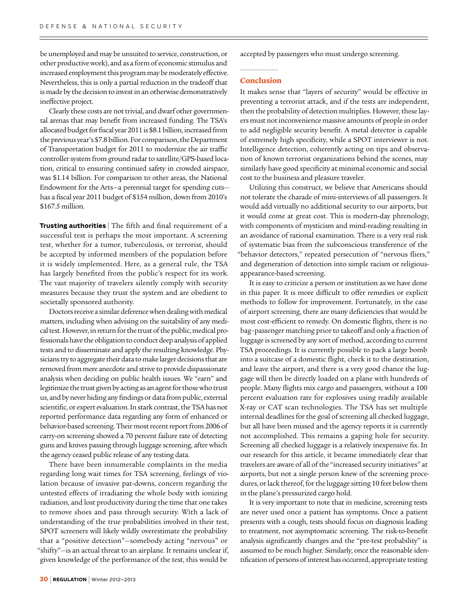be unemployed and may be unsuited to service, construction, or other productive work), and as a form of economic stimulus and increased employment this program may be moderately effective. Nevertheless, this is only a partial reduction in the tradeoff that is made by the decision to invest in an otherwise demonstratively ineffective project.

Clearly these costs are not trivial, and dwarf other governmental arenas that may benefit from increased funding. The TSA's allocated budget for fiscal year 2011 is \$8.1 billion, increased from the previous year's \$7.8 billion. For comparison, the Department of Transportation budget for 2011 to modernize the air traffic controller system from ground radar to satellite/GPS-based location, critical to ensuring continued safety in crowded airspace, was \$1.14 billion. For comparison to other areas, the National Endowment for the Arts—a perennial target for spending cuts has a fiscal year 2011 budget of \$154 million, down from 2010's \$167.5 million.

**Trusting authorities** | The fifth and final requirement of a successful test is perhaps the most important. A screening test, whether for a tumor, tuberculosis, or terrorist, should be accepted by informed members of the population before it is widely implemented. Here, as a general rule, the TSA has largely benefited from the public's respect for its work. The vast majority of travelers silently comply with security measures because they trust the system and are obedient to societally sponsored authority.

Doctors receive a similar deference when dealing with medical matters, including when advising on the suitability of any medical test. However, in return for the trust of the public, medical professionals have the obligation to conduct deep analysis of applied tests and to disseminate and apply the resulting knowledge. Physicians try to aggregate their data to make larger decisions that are removed from mere anecdote and strive to provide dispassionate analysis when deciding on public health issues. We "earn" and legitimize the trust given by acting as an agent for those who trust us, and by never hiding any findings or data from public, external scientific, or expert evaluation. In stark contrast, the TSA has not reported performance data regarding any form of enhanced or behavior-based screening. Their most recent report from 2006 of carry-on screening showed a 70 percent failure rate of detecting guns and knives passing through luggage screening, after which the agency ceased public release of any testing data.

There have been innumerable complaints in the media regarding long wait times for TSA screening, feelings of violation because of invasive pat-downs, concern regarding the untested effects of irradiating the whole body with ionizing radiation, and lost productivity during the time that one takes to remove shoes and pass through security. With a lack of understanding of the true probabilities involved in their test, SPOT screeners will likely wildly overestimate the probability that a "positive detection"—somebody acting "nervous" or "shifty"—is an actual threat to an airplane. It remains unclear if, given knowledge of the performance of the test, this would be

accepted by passengers who must undergo screening.

#### **Conclusion**

It makes sense that "layers of security" would be effective in preventing a terrorist attack, and if the tests are independent, then the probability of detection multiplies. However, these layers must not inconvenience massive amounts of people in order to add negligible security benefit. A metal detector is capable of extremely high specificity, while a SPOT interviewer is not. Intelligence detection, coherently acting on tips and observation of known terrorist organizations behind the scenes, may similarly have good specificity at minimal economic and social cost to the business and pleasure traveler.

Utilizing this construct, we believe that Americans should not tolerate the charade of mini-interviews of all passengers. It would add virtually no additional security to our airports, but it would come at great cost. This is modern-day phrenology, with components of mysticism and mind-reading resulting in an avoidance of rational examination. There is a very real risk of systematic bias from the subconscious transference of the "behavior detectors," repeated persecution of "nervous fliers," and degeneration of detection into simple racism or religiousappearance-based screening.

It is easy to criticize a person or institution as we have done in this paper. It is more difficult to offer remedies or explicit methods to follow for improvement. Fortunately, in the case of airport screening, there are many deficiencies that would be most cost-efficient to remedy. On domestic flights, there is no bag–passenger matching prior to takeoff and only a fraction of luggage is screened by any sort of method, according to current TSA proceedings. It is currently possible to pack a large bomb into a suitcase of a domestic flight, check it to the destination, and leave the airport, and there is a very good chance the luggage will then be directly loaded on a plane with hundreds of people. Many flights mix cargo and passengers, without a 100 percent evaluation rate for explosives using readily available X-ray or CAT scan technologies. The TSA has set multiple internal deadlines for the goal of screening all checked luggage, but all have been missed and the agency reports it is currently not accomplished. This remains a gaping hole for security. Screening all checked luggage is a relatively inexpensive fix. In our research for this article, it became immediately clear that travelers are aware of all of the "increased security initiatives" at airports, but not a single person knew of the screening procedures, or lack thereof, for the luggage sitting 10 feet below them in the plane's pressurized cargo hold.

It is very important to note that in medicine, screening tests are never used once a patient has symptoms. Once a patient presents with a cough, tests should focus on diagnosis leading to treatment, not asymptomatic screening. The risk-to-benefit analysis significantly changes and the "pre-test probability" is assumed to be much higher. Similarly, once the reasonable identification of persons of interest has occurred, appropriate testing